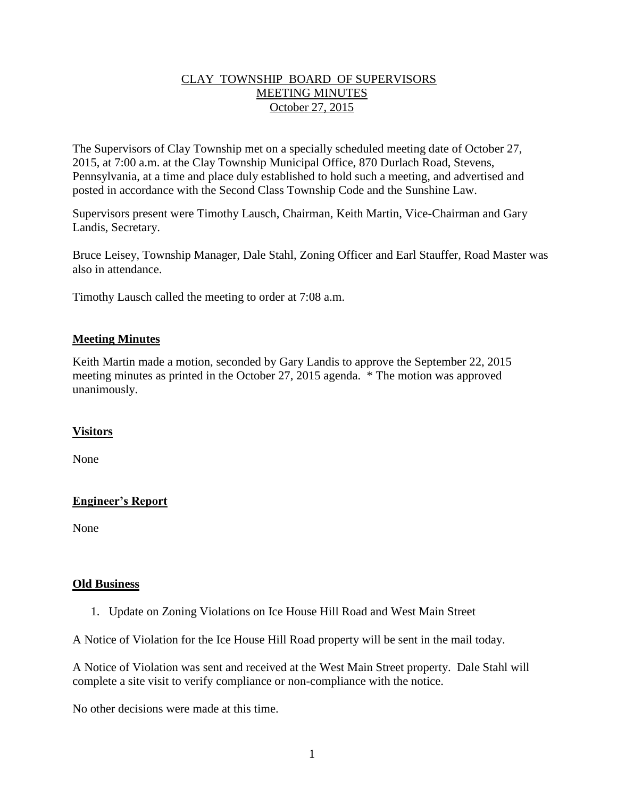## CLAY TOWNSHIP BOARD OF SUPERVISORS MEETING MINUTES October 27, 2015

The Supervisors of Clay Township met on a specially scheduled meeting date of October 27, 2015, at 7:00 a.m. at the Clay Township Municipal Office, 870 Durlach Road, Stevens, Pennsylvania, at a time and place duly established to hold such a meeting, and advertised and posted in accordance with the Second Class Township Code and the Sunshine Law.

Supervisors present were Timothy Lausch, Chairman, Keith Martin, Vice-Chairman and Gary Landis, Secretary.

Bruce Leisey, Township Manager, Dale Stahl, Zoning Officer and Earl Stauffer, Road Master was also in attendance.

Timothy Lausch called the meeting to order at 7:08 a.m.

### **Meeting Minutes**

Keith Martin made a motion, seconded by Gary Landis to approve the September 22, 2015 meeting minutes as printed in the October 27, 2015 agenda. \* The motion was approved unanimously.

# **Visitors**

None

# **Engineer's Report**

None

#### **Old Business**

1. Update on Zoning Violations on Ice House Hill Road and West Main Street

A Notice of Violation for the Ice House Hill Road property will be sent in the mail today.

A Notice of Violation was sent and received at the West Main Street property. Dale Stahl will complete a site visit to verify compliance or non-compliance with the notice.

No other decisions were made at this time.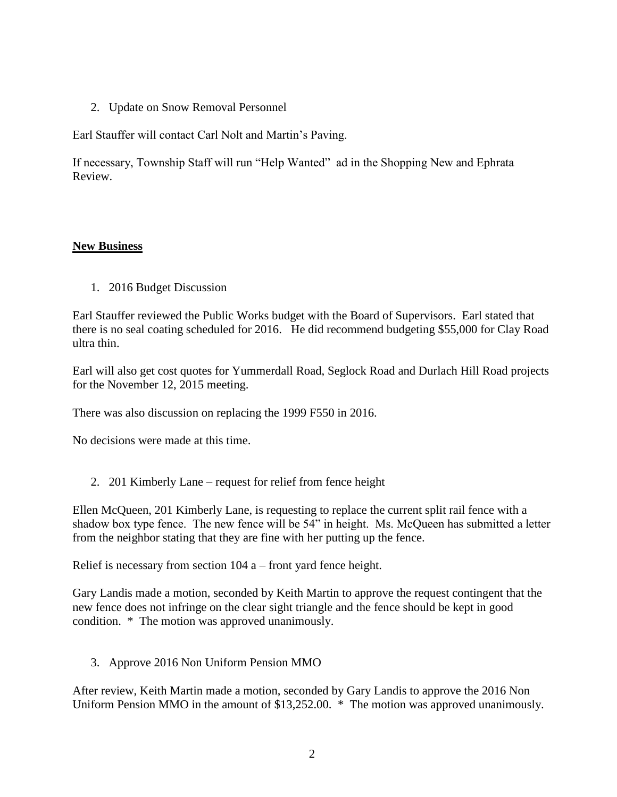2. Update on Snow Removal Personnel

Earl Stauffer will contact Carl Nolt and Martin's Paving.

If necessary, Township Staff will run "Help Wanted" ad in the Shopping New and Ephrata Review.

# **New Business**

1. 2016 Budget Discussion

Earl Stauffer reviewed the Public Works budget with the Board of Supervisors. Earl stated that there is no seal coating scheduled for 2016. He did recommend budgeting \$55,000 for Clay Road ultra thin.

Earl will also get cost quotes for Yummerdall Road, Seglock Road and Durlach Hill Road projects for the November 12, 2015 meeting.

There was also discussion on replacing the 1999 F550 in 2016.

No decisions were made at this time.

2. 201 Kimberly Lane – request for relief from fence height

Ellen McQueen, 201 Kimberly Lane, is requesting to replace the current split rail fence with a shadow box type fence. The new fence will be 54" in height. Ms. McQueen has submitted a letter from the neighbor stating that they are fine with her putting up the fence.

Relief is necessary from section 104 a – front yard fence height.

Gary Landis made a motion, seconded by Keith Martin to approve the request contingent that the new fence does not infringe on the clear sight triangle and the fence should be kept in good condition. \* The motion was approved unanimously.

3. Approve 2016 Non Uniform Pension MMO

After review, Keith Martin made a motion, seconded by Gary Landis to approve the 2016 Non Uniform Pension MMO in the amount of \$13,252.00. \* The motion was approved unanimously.